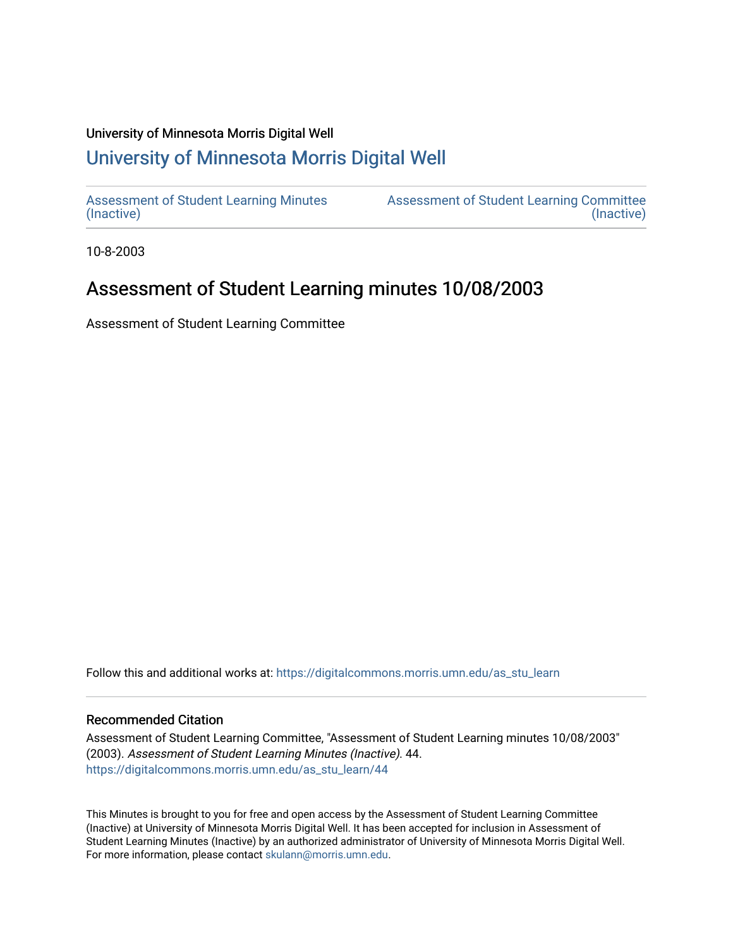#### University of Minnesota Morris Digital Well

# [University of Minnesota Morris Digital Well](https://digitalcommons.morris.umn.edu/)

[Assessment of Student Learning Minutes](https://digitalcommons.morris.umn.edu/as_stu_learn)  [\(Inactive\)](https://digitalcommons.morris.umn.edu/as_stu_learn) 

[Assessment of Student Learning Committee](https://digitalcommons.morris.umn.edu/aslc)  [\(Inactive\)](https://digitalcommons.morris.umn.edu/aslc) 

10-8-2003

# Assessment of Student Learning minutes 10/08/2003

Assessment of Student Learning Committee

Follow this and additional works at: [https://digitalcommons.morris.umn.edu/as\\_stu\\_learn](https://digitalcommons.morris.umn.edu/as_stu_learn?utm_source=digitalcommons.morris.umn.edu%2Fas_stu_learn%2F44&utm_medium=PDF&utm_campaign=PDFCoverPages) 

### Recommended Citation

Assessment of Student Learning Committee, "Assessment of Student Learning minutes 10/08/2003" (2003). Assessment of Student Learning Minutes (Inactive). 44. [https://digitalcommons.morris.umn.edu/as\\_stu\\_learn/44](https://digitalcommons.morris.umn.edu/as_stu_learn/44?utm_source=digitalcommons.morris.umn.edu%2Fas_stu_learn%2F44&utm_medium=PDF&utm_campaign=PDFCoverPages) 

This Minutes is brought to you for free and open access by the Assessment of Student Learning Committee (Inactive) at University of Minnesota Morris Digital Well. It has been accepted for inclusion in Assessment of Student Learning Minutes (Inactive) by an authorized administrator of University of Minnesota Morris Digital Well. For more information, please contact [skulann@morris.umn.edu](mailto:skulann@morris.umn.edu).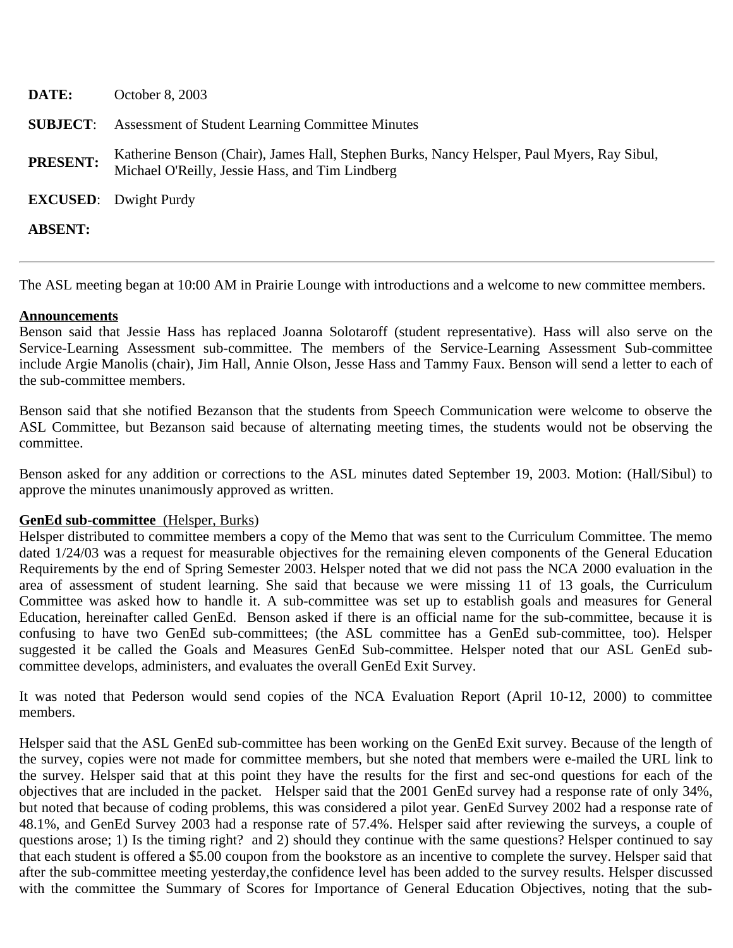| DATE:           | October 8, 2003                                                                                                                               |
|-----------------|-----------------------------------------------------------------------------------------------------------------------------------------------|
| <b>SUBJECT:</b> | Assessment of Student Learning Committee Minutes                                                                                              |
| <b>PRESENT:</b> | Katherine Benson (Chair), James Hall, Stephen Burks, Nancy Helsper, Paul Myers, Ray Sibul,<br>Michael O'Reilly, Jessie Hass, and Tim Lindberg |
|                 | <b>EXCUSED:</b> Dwight Purdy                                                                                                                  |
| <b>ABSENT:</b>  |                                                                                                                                               |
|                 |                                                                                                                                               |

The ASL meeting began at 10:00 AM in Prairie Lounge with introductions and a welcome to new committee members.

### **Announcements**

Benson said that Jessie Hass has replaced Joanna Solotaroff (student representative). Hass will also serve on the Service-Learning Assessment sub-committee. The members of the Service-Learning Assessment Sub-committee include Argie Manolis (chair), Jim Hall, Annie Olson, Jesse Hass and Tammy Faux. Benson will send a letter to each of the sub-committee members.

Benson said that she notified Bezanson that the students from Speech Communication were welcome to observe the ASL Committee, but Bezanson said because of alternating meeting times, the students would not be observing the committee.

Benson asked for any addition or corrections to the ASL minutes dated September 19, 2003. Motion: (Hall/Sibul) to approve the minutes unanimously approved as written.

### **GenEd sub-committee** (Helsper, Burks)

Helsper distributed to committee members a copy of the Memo that was sent to the Curriculum Committee. The memo dated 1/24/03 was a request for measurable objectives for the remaining eleven components of the General Education Requirements by the end of Spring Semester 2003. Helsper noted that we did not pass the NCA 2000 evaluation in the area of assessment of student learning. She said that because we were missing 11 of 13 goals, the Curriculum Committee was asked how to handle it. A sub-committee was set up to establish goals and measures for General Education, hereinafter called GenEd. Benson asked if there is an official name for the sub-committee, because it is confusing to have two GenEd sub-committees; (the ASL committee has a GenEd sub-committee, too). Helsper suggested it be called the Goals and Measures GenEd Sub-committee. Helsper noted that our ASL GenEd subcommittee develops, administers, and evaluates the overall GenEd Exit Survey.

It was noted that Pederson would send copies of the NCA Evaluation Report (April 10-12, 2000) to committee members.

Helsper said that the ASL GenEd sub-committee has been working on the GenEd Exit survey. Because of the length of the survey, copies were not made for committee members, but she noted that members were e-mailed the URL link to the survey. Helsper said that at this point they have the results for the first and sec-ond questions for each of the objectives that are included in the packet. Helsper said that the 2001 GenEd survey had a response rate of only 34%, but noted that because of coding problems, this was considered a pilot year. GenEd Survey 2002 had a response rate of 48.1%, and GenEd Survey 2003 had a response rate of 57.4%. Helsper said after reviewing the surveys, a couple of questions arose; 1) Is the timing right? and 2) should they continue with the same questions? Helsper continued to say that each student is offered a \$5.00 coupon from the bookstore as an incentive to complete the survey. Helsper said that after the sub-committee meeting yesterday,the confidence level has been added to the survey results. Helsper discussed with the committee the Summary of Scores for Importance of General Education Objectives, noting that the sub